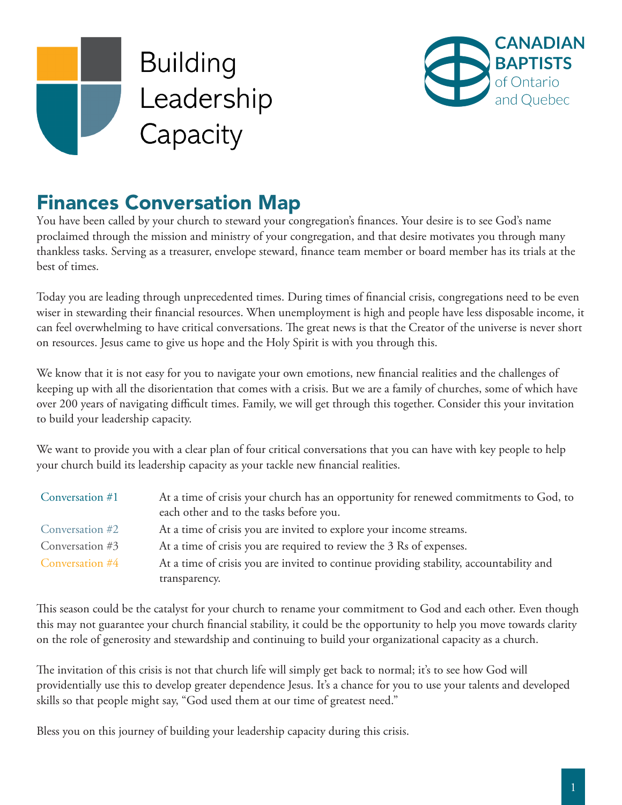



# Finances Conversation Map

You have been called by your church to steward your congregation's finances. Your desire is to see God's name proclaimed through the mission and ministry of your congregation, and that desire motivates you through many thankless tasks. Serving as a treasurer, envelope steward, finance team member or board member has its trials at the best of times.

Today you are leading through unprecedented times. During times of financial crisis, congregations need to be even wiser in stewarding their financial resources. When unemployment is high and people have less disposable income, it can feel overwhelming to have critical conversations. The great news is that the Creator of the universe is never short on resources. Jesus came to give us hope and the Holy Spirit is with you through this.

We know that it is not easy for you to navigate your own emotions, new financial realities and the challenges of keeping up with all the disorientation that comes with a crisis. But we are a family of churches, some of which have over 200 years of navigating difficult times. Family, we will get through this together. Consider this your invitation to build your leadership capacity.

We want to provide you with a clear plan of four critical conversations that you can have with key people to help your church build its leadership capacity as your tackle new financial realities.

| Conversation #1 | At a time of crisis your church has an opportunity for renewed commitments to God, to<br>each other and to the tasks before you. |
|-----------------|----------------------------------------------------------------------------------------------------------------------------------|
| Conversation #2 | At a time of crisis you are invited to explore your income streams.                                                              |
| Conversation #3 | At a time of crisis you are required to review the 3 Rs of expenses.                                                             |
| Conversation #4 | At a time of crisis you are invited to continue providing stability, accountability and                                          |
|                 | transparency.                                                                                                                    |

This season could be the catalyst for your church to rename your commitment to God and each other. Even though this may not guarantee your church financial stability, it could be the opportunity to help you move towards clarity on the role of generosity and stewardship and continuing to build your organizational capacity as a church.

The invitation of this crisis is not that church life will simply get back to normal; it's to see how God will providentially use this to develop greater dependence Jesus. It's a chance for you to use your talents and developed skills so that people might say, "God used them at our time of greatest need."

Bless you on this journey of building your leadership capacity during this crisis.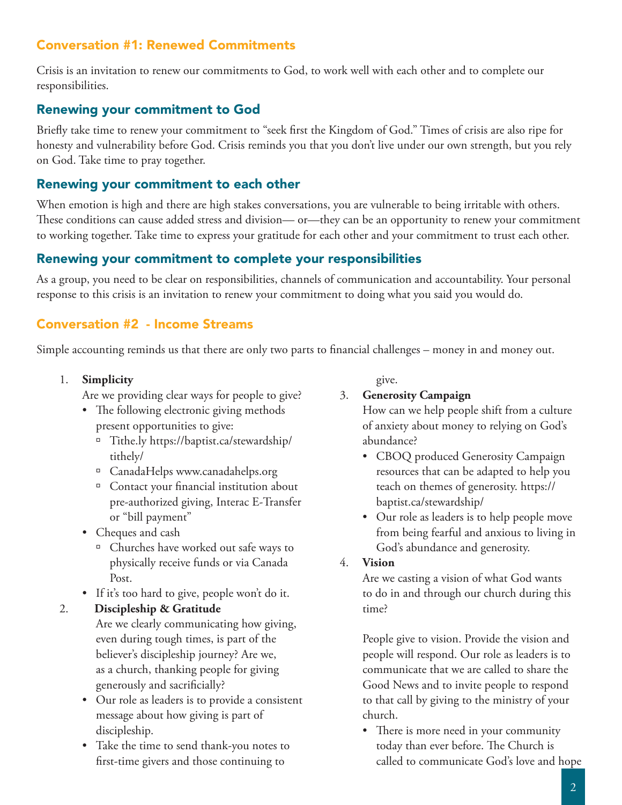## Conversation #1: Renewed Commitments

Crisis is an invitation to renew our commitments to God, to work well with each other and to complete our responsibilities.

## Renewing your commitment to God

Briefly take time to renew your commitment to "seek first the Kingdom of God." Times of crisis are also ripe for honesty and vulnerability before God. Crisis reminds you that you don't live under our own strength, but you rely on God. Take time to pray together.

## Renewing your commitment to each other

When emotion is high and there are high stakes conversations, you are vulnerable to being irritable with others. These conditions can cause added stress and division— or—they can be an opportunity to renew your commitment to working together. Take time to express your gratitude for each other and your commitment to trust each other.

## Renewing your commitment to complete your responsibilities

As a group, you need to be clear on responsibilities, channels of communication and accountability. Your personal response to this crisis is an invitation to renew your commitment to doing what you said you would do.

## Conversation #2 - Income Streams

Simple accounting reminds us that there are only two parts to financial challenges – money in and money out.

1. **Simplicity**

Are we providing clear ways for people to give?

- The following electronic giving methods present opportunities to give:
	- à Tithe.ly https://baptist.ca/stewardship/ tithely/
	- à CanadaHelps www.canadahelps.org
	- à Contact your financial institution about pre-authorized giving, Interac E-Transfer or "bill payment"
- Cheques and cash
	- <sup>a</sup> Churches have worked out safe ways to physically receive funds or via Canada Post.
- If it's too hard to give, people won't do it.

#### 2. **Discipleship & Gratitude**

Are we clearly communicating how giving, even during tough times, is part of the believer's discipleship journey? Are we, as a church, thanking people for giving generously and sacrificially?

- Our role as leaders is to provide a consistent message about how giving is part of discipleship.
- Take the time to send thank-you notes to first-time givers and those continuing to

give.

## 3. **Generosity Campaign**

How can we help people shift from a culture of anxiety about money to relying on God's abundance?

- CBOQ produced Generosity Campaign resources that can be adapted to help you teach on themes of generosity. https:// baptist.ca/stewardship/
- Our role as leaders is to help people move from being fearful and anxious to living in God's abundance and generosity.

#### 4. **Vision**

Are we casting a vision of what God wants to do in and through our church during this time?

People give to vision. Provide the vision and people will respond. Our role as leaders is to communicate that we are called to share the Good News and to invite people to respond to that call by giving to the ministry of your church.

• There is more need in your community today than ever before. The Church is called to communicate God's love and hope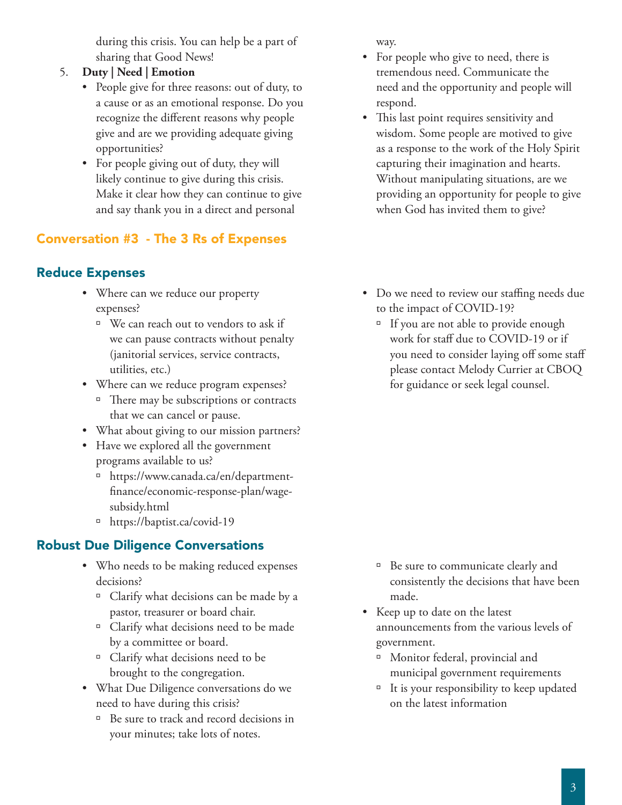during this crisis. You can help be a part of sharing that Good News!

- 5. **Duty | Need | Emotion**
	- People give for three reasons: out of duty, to a cause or as an emotional response. Do you recognize the different reasons why people give and are we providing adequate giving opportunities?
	- For people giving out of duty, they will likely continue to give during this crisis. Make it clear how they can continue to give and say thank you in a direct and personal

# Conversation #3 - The 3 Rs of Expenses

# Reduce Expenses

- Where can we reduce our property expenses?
	- <sup>□</sup> We can reach out to vendors to ask if we can pause contracts without penalty (janitorial services, service contracts, utilities, etc.)
- Where can we reduce program expenses?
	- $\Box$  There may be subscriptions or contracts that we can cancel or pause.
- What about giving to our mission partners?
- Have we explored all the government programs available to us?
	- à https://www.canada.ca/en/departmentfinance/economic-response-plan/wagesubsidy.html
	- à https://baptist.ca/covid-19

# Robust Due Diligence Conversations

- Who needs to be making reduced expenses decisions?
	- à Clarify what decisions can be made by a pastor, treasurer or board chair.
	- <sup>□</sup> Clarify what decisions need to be made by a committee or board.
	- $\Box$  Clarify what decisions need to be brought to the congregation.
- What Due Diligence conversations do we need to have during this crisis?
	- <sup>□</sup> Be sure to track and record decisions in your minutes; take lots of notes.

way.

- For people who give to need, there is tremendous need. Communicate the need and the opportunity and people will respond.
- This last point requires sensitivity and wisdom. Some people are motived to give as a response to the work of the Holy Spirit capturing their imagination and hearts. Without manipulating situations, are we providing an opportunity for people to give when God has invited them to give?
- Do we need to review our staffing needs due to the impact of COVID-19?
	- <sup>n</sup> If you are not able to provide enough work for staff due to COVID-19 or if you need to consider laying off some staff please contact Melody Currier at CBOQ for guidance or seek legal counsel.

- <sup>□</sup> Be sure to communicate clearly and consistently the decisions that have been made.
- Keep up to date on the latest announcements from the various levels of government.
	- à Monitor federal, provincial and municipal government requirements
	- $\overline{a}$  It is your responsibility to keep updated on the latest information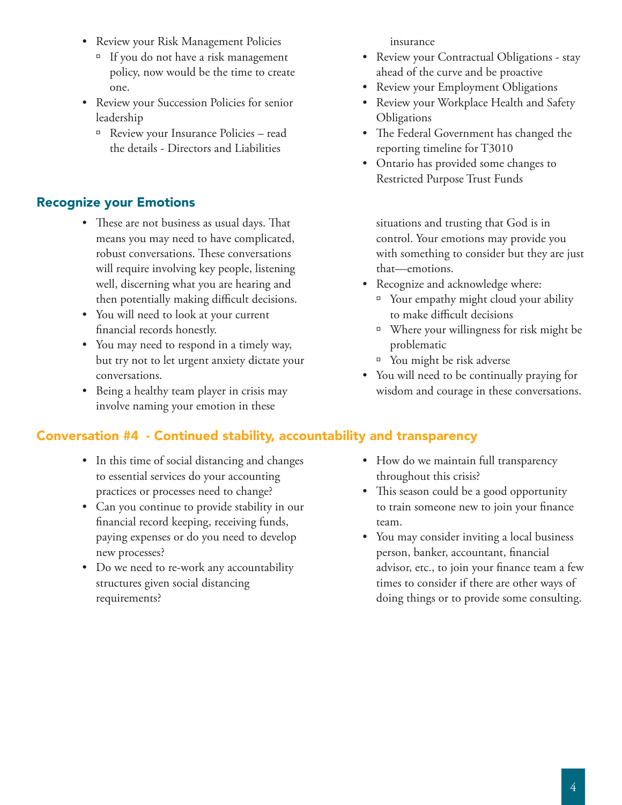- Review your Risk Management Policies
	- $\Box$  If you do not have a risk management policy, now would be the time to create one.
- Review your Succession Policies for senior leadership
	- à Review your Insurance Policies read the details - Directors and Liabilities

# Recognize your Emotions

- These are not business as usual days. That means you may need to have complicated, robust conversations. These conversations will require involving key people, listening well, discerning what you are hearing and then potentially making difficult decisions.
- You will need to look at your current financial records honestly.
- You may need to respond in a timely way, but try not to let urgent anxiety dictate your conversations.
- Being a healthy team player in crisis may involve naming your emotion in these

# Conversation #4 - Continued stability, accountability and transparency

- In this time of social distancing and changes to essential services do your accounting practices or processes need to change?
- Can you continue to provide stability in our financial record keeping, receiving funds, paying expenses or do you need to develop new processes?
- Do we need to re-work any accountability structures given social distancing requirements?

insurance

- Review your Contractual Obligations stay ahead of the curve and be proactive
- Review your Employment Obligations
- Review your Workplace Health and Safety **Obligations**
- The Federal Government has changed the reporting timeline for T3010
- Ontario has provided some changes to Restricted Purpose Trust Funds

situations and trusting that God is in control. Your emotions may provide you with something to consider but they are just that—emotions.

- Recognize and acknowledge where:
	- <sup>a</sup> Your empathy might cloud your ability to make difficult decisions
	- à Where your willingness for risk might be problematic
	- <sup>o</sup> You might be risk adverse
- You will need to be continually praying for wisdom and courage in these conversations.
- How do we maintain full transparency throughout this crisis?
- This season could be a good opportunity to train someone new to join your finance team.
- You may consider inviting a local business person, banker, accountant, financial advisor, etc., to join your finance team a few times to consider if there are other ways of doing things or to provide some consulting.